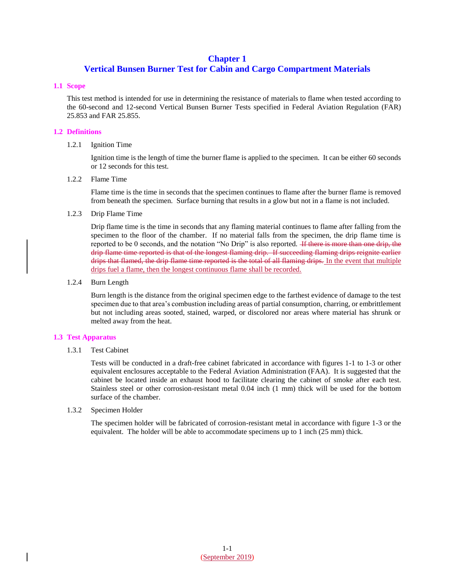# **Chapter 1**

# **Vertical Bunsen Burner Test for Cabin and Cargo Compartment Materials**

### **1.1 Scope**

This test method is intended for use in determining the resistance of materials to flame when tested according to the 60-second and 12-second Vertical Bunsen Burner Tests specified in Federal Aviation Regulation (FAR) 25.853 and FAR 25.855.

# **1.2 Definitions**

# 1.2.1 Ignition Time

Ignition time is the length of time the burner flame is applied to the specimen. It can be either 60 seconds or 12 seconds for this test.

### 1.2.2 Flame Time

Flame time is the time in seconds that the specimen continues to flame after the burner flame is removed from beneath the specimen. Surface burning that results in a glow but not in a flame is not included.

# 1.2.3 Drip Flame Time

Drip flame time is the time in seconds that any flaming material continues to flame after falling from the specimen to the floor of the chamber. If no material falls from the specimen, the drip flame time is reported to be 0 seconds, and the notation "No Drip" is also reported. <del>If there is more than one drip, the</del> drip flame time reported is that of the longest flaming drip. If succeeding flaming drips reignite earlier drips that flamed, the drip flame time reported is the total of all flaming drips. In the event that multiple drips fuel a flame, then the longest continuous flame shall be recorded.

# 1.2.4 Burn Length

Burn length is the distance from the original specimen edge to the farthest evidence of damage to the test specimen due to that area's combustion including areas of partial consumption, charring, or embrittlement but not including areas sooted, stained, warped, or discolored nor areas where material has shrunk or melted away from the heat.

### **1.3 Test Apparatus**

### 1.3.1 Test Cabinet

Tests will be conducted in a draft-free cabinet fabricated in accordance with figures 1-1 to 1-3 or other equivalent enclosures acceptable to the Federal Aviation Administration (FAA). It is suggested that the cabinet be located inside an exhaust hood to facilitate clearing the cabinet of smoke after each test. Stainless steel or other corrosion-resistant metal 0.04 inch (1 mm) thick will be used for the bottom surface of the chamber.

### 1.3.2 Specimen Holder

The specimen holder will be fabricated of corrosion-resistant metal in accordance with figure 1-3 or the equivalent. The holder will be able to accommodate specimens up to 1 inch (25 mm) thick.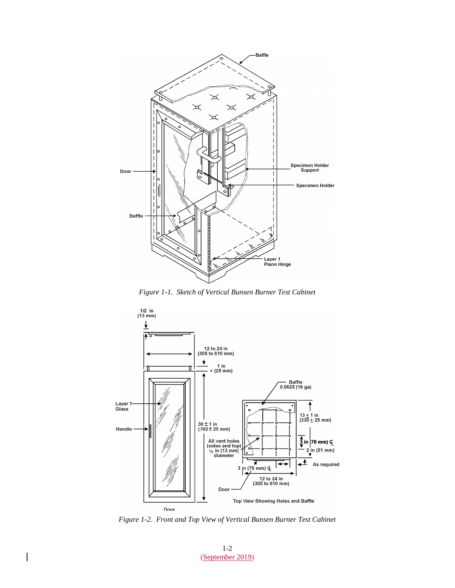

*Figure 1-1. Sketch of Vertical Bunsen Burner Test Cabinet*



*Figure 1-2. Front and Top View of Vertical Bunsen Burner Test Cabinet*

1-2 (September 2019)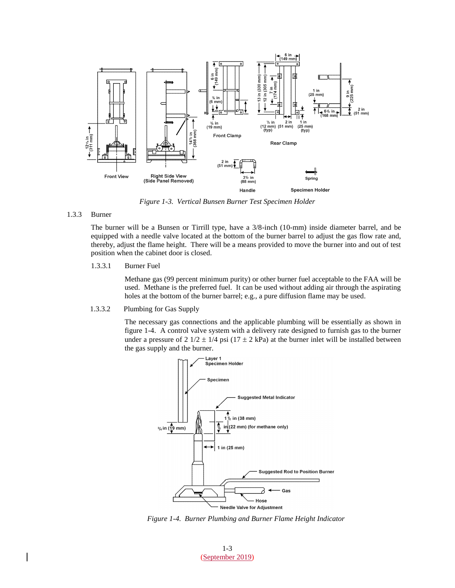

*Figure 1-3. Vertical Bunsen Burner Test Specimen Holder*

#### 1.3.3 Burner

The burner will be a Bunsen or Tirrill type, have a 3/8-inch (10-mm) inside diameter barrel, and be equipped with a needle valve located at the bottom of the burner barrel to adjust the gas flow rate and, thereby, adjust the flame height. There will be a means provided to move the burner into and out of test position when the cabinet door is closed.

1.3.3.1 Burner Fuel

Methane gas (99 percent minimum purity) or other burner fuel acceptable to the FAA will be used. Methane is the preferred fuel. It can be used without adding air through the aspirating holes at the bottom of the burner barrel; e.g., a pure diffusion flame may be used.

1.3.3.2 Plumbing for Gas Supply

The necessary gas connections and the applicable plumbing will be essentially as shown in figure 1-4. A control valve system with a delivery rate designed to furnish gas to the burner under a pressure of  $2 \frac{1}{2} \pm \frac{1}{4}$  psi  $\left(\frac{17 \pm 2 \text{ kPa}}{2}\right)$  at the burner inlet will be installed between the gas supply and the burner.



*Figure 1-4. Burner Plumbing and Burner Flame Height Indicator*

1-3 (September 2019)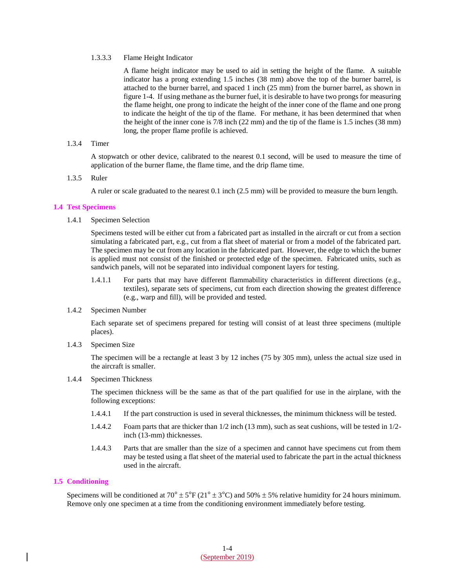#### 1.3.3.3 Flame Height Indicator

A flame height indicator may be used to aid in setting the height of the flame. A suitable indicator has a prong extending 1.5 inches (38 mm) above the top of the burner barrel, is attached to the burner barrel, and spaced 1 inch (25 mm) from the burner barrel, as shown in figure 1-4. If using methane as the burner fuel, it is desirable to have two prongs for measuring the flame height, one prong to indicate the height of the inner cone of the flame and one prong to indicate the height of the tip of the flame. For methane, it has been determined that when the height of the inner cone is 7/8 inch (22 mm) and the tip of the flame is 1.5 inches (38 mm) long, the proper flame profile is achieved.

#### 1.3.4 Timer

A stopwatch or other device, calibrated to the nearest 0.1 second, will be used to measure the time of application of the burner flame, the flame time, and the drip flame time.

#### 1.3.5 Ruler

A ruler or scale graduated to the nearest 0.1 inch (2.5 mm) will be provided to measure the burn length.

#### **1.4 Test Specimens**

1.4.1 Specimen Selection

Specimens tested will be either cut from a fabricated part as installed in the aircraft or cut from a section simulating a fabricated part, e.g., cut from a flat sheet of material or from a model of the fabricated part. The specimen may be cut from any location in the fabricated part. However, the edge to which the burner is applied must not consist of the finished or protected edge of the specimen. Fabricated units, such as sandwich panels, will not be separated into individual component layers for testing.

- 1.4.1.1 For parts that may have different flammability characteristics in different directions (e.g., textiles), separate sets of specimens, cut from each direction showing the greatest difference (e.g., warp and fill), will be provided and tested.
- 1.4.2 Specimen Number

Each separate set of specimens prepared for testing will consist of at least three specimens (multiple places).

1.4.3 Specimen Size

The specimen will be a rectangle at least 3 by 12 inches (75 by 305 mm), unless the actual size used in the aircraft is smaller.

#### 1.4.4 Specimen Thickness

The specimen thickness will be the same as that of the part qualified for use in the airplane, with the following exceptions:

- 1.4.4.1 If the part construction is used in several thicknesses, the minimum thickness will be tested.
- 1.4.4.2 Foam parts that are thicker than 1/2 inch (13 mm), such as seat cushions, will be tested in 1/2 inch (13-mm) thicknesses.
- 1.4.4.3 Parts that are smaller than the size of a specimen and cannot have specimens cut from them may be tested using a flat sheet of the material used to fabricate the part in the actual thickness used in the aircraft.

### **1.5 Conditioning**

Specimens will be conditioned at  $70^{\circ} \pm 5^{\circ}$  F ( $21^{\circ} \pm 3^{\circ}$ C) and  $50\% \pm 5\%$  relative humidity for 24 hours minimum. Remove only one specimen at a time from the conditioning environment immediately before testing.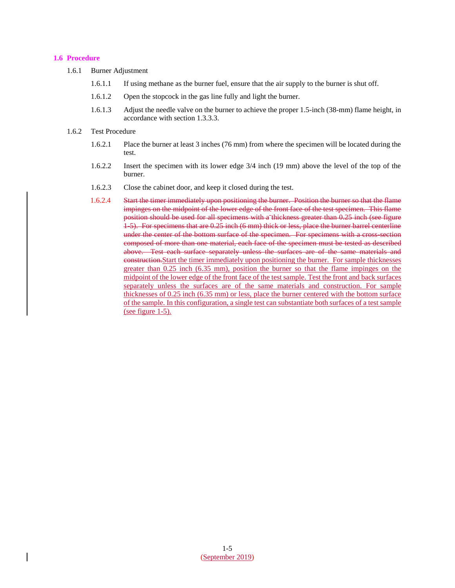### **1.6 Procedure**

- 1.6.1 Burner Adjustment
	- 1.6.1.1 If using methane as the burner fuel, ensure that the air supply to the burner is shut off.
	- 1.6.1.2 Open the stopcock in the gas line fully and light the burner.
	- 1.6.1.3 Adjust the needle valve on the burner to achieve the proper 1.5-inch (38-mm) flame height, in accordance with section 1.3.3.3.

### 1.6.2 Test Procedure

- 1.6.2.1 Place the burner at least 3 inches (76 mm) from where the specimen will be located during the test.
- 1.6.2.2 Insert the specimen with its lower edge 3/4 inch (19 mm) above the level of the top of the burner.
- 1.6.2.3 Close the cabinet door, and keep it closed during the test.
- 1.6.2.4 Start the timer immediately upon positioning the burner. Position the burner so that the flame impinges on the midpoint of the lower edge of the front face of the test specimen. This flame position should be used for all specimens with a thickness greater than 0.25 inch (see figure 1-5). For specimens that are 0.25 inch (6 mm) thick or less, place the burner barrel centerline under the center of the bottom surface of the specimen. For specimens with a cross-section composed of more than one material, each face of the specimen must be tested as described above. Test each surface separately unless the surfaces are of the same materials and construction.Start the timer immediately upon positioning the burner. For sample thicknesses greater than 0.25 inch (6.35 mm), position the burner so that the flame impinges on the midpoint of the lower edge of the front face of the test sample. Test the front and back surfaces separately unless the surfaces are of the same materials and construction. For sample thicknesses of 0.25 inch (6.35 mm) or less, place the burner centered with the bottom surface of the sample. In this configuration, a single test can substantiate both surfaces of a test sample (see figure 1-5).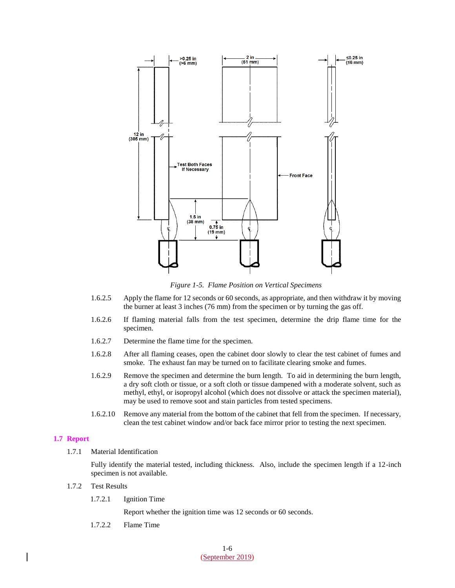

*Figure 1-5. Flame Position on Vertical Specimens*

- 1.6.2.5 Apply the flame for 12 seconds or 60 seconds, as appropriate, and then withdraw it by moving the burner at least 3 inches (76 mm) from the specimen or by turning the gas off.
- 1.6.2.6 If flaming material falls from the test specimen, determine the drip flame time for the specimen.
- 1.6.2.7 Determine the flame time for the specimen.
- 1.6.2.8 After all flaming ceases, open the cabinet door slowly to clear the test cabinet of fumes and smoke. The exhaust fan may be turned on to facilitate clearing smoke and fumes.
- 1.6.2.9 Remove the specimen and determine the burn length. To aid in determining the burn length, a dry soft cloth or tissue, or a soft cloth or tissue dampened with a moderate solvent, such as methyl, ethyl, or isopropyl alcohol (which does not dissolve or attack the specimen material), may be used to remove soot and stain particles from tested specimens.
- 1.6.2.10 Remove any material from the bottom of the cabinet that fell from the specimen. If necessary, clean the test cabinet window and/or back face mirror prior to testing the next specimen.

#### **1.7 Report**

1.7.1 Material Identification

Fully identify the material tested, including thickness. Also, include the specimen length if a 12-inch specimen is not available.

#### 1.7.2 Test Results

1.7.2.1 Ignition Time

Report whether the ignition time was 12 seconds or 60 seconds.

1.7.2.2 Flame Time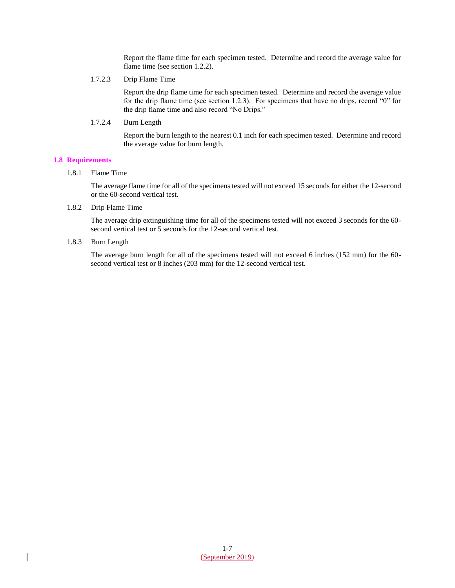Report the flame time for each specimen tested. Determine and record the average value for flame time (see section 1.2.2).

1.7.2.3 Drip Flame Time

Report the drip flame time for each specimen tested. Determine and record the average value for the drip flame time (see section 1.2.3). For specimens that have no drips, record "0" for the drip flame time and also record "No Drips."

1.7.2.4 Burn Length

Report the burn length to the nearest 0.1 inch for each specimen tested. Determine and record the average value for burn length.

# **1.8 Requirements**

1.8.1 Flame Time

The average flame time for all of the specimens tested will not exceed 15 seconds for either the 12-second or the 60-second vertical test.

1.8.2 Drip Flame Time

The average drip extinguishing time for all of the specimens tested will not exceed 3 seconds for the 60 second vertical test or 5 seconds for the 12-second vertical test.

1.8.3 Burn Length

The average burn length for all of the specimens tested will not exceed 6 inches (152 mm) for the 60 second vertical test or 8 inches (203 mm) for the 12-second vertical test.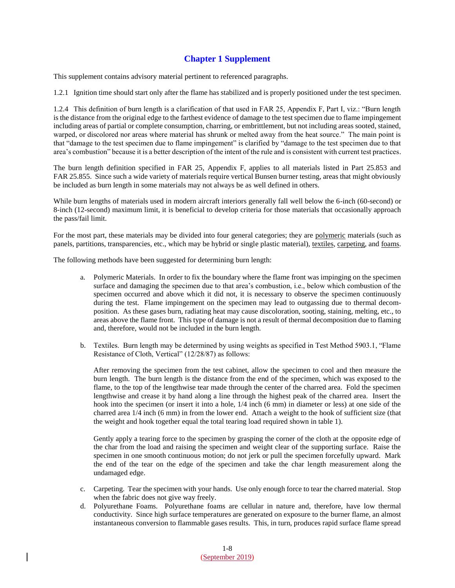# **Chapter 1 Supplement**

This supplement contains advisory material pertinent to referenced paragraphs.

1.2.1 Ignition time should start only after the flame has stabilized and is properly positioned under the test specimen.

1.2.4 This definition of burn length is a clarification of that used in FAR 25, Appendix F, Part I, viz.: "Burn length is the distance from the original edge to the farthest evidence of damage to the test specimen due to flame impingement including areas of partial or complete consumption, charring, or embrittlement, but not including areas sooted, stained, warped, or discolored nor areas where material has shrunk or melted away from the heat source." The main point is that "damage to the test specimen due to flame impingement" is clarified by "damage to the test specimen due to that area's combustion" because it is a better description of the intent of the rule and is consistent with current test practices.

The burn length definition specified in FAR 25, Appendix F, applies to all materials listed in Part 25.853 and FAR 25.855. Since such a wide variety of materials require vertical Bunsen burner testing, areas that might obviously be included as burn length in some materials may not always be as well defined in others.

While burn lengths of materials used in modern aircraft interiors generally fall well below the 6-inch (60-second) or 8-inch (12-second) maximum limit, it is beneficial to develop criteria for those materials that occasionally approach the pass/fail limit.

For the most part, these materials may be divided into four general categories; they are polymeric materials (such as panels, partitions, transparencies, etc., which may be hybrid or single plastic material), textiles, carpeting, and foams.

The following methods have been suggested for determining burn length:

- a. Polymeric Materials. In order to fix the boundary where the flame front was impinging on the specimen surface and damaging the specimen due to that area's combustion, i.e., below which combustion of the specimen occurred and above which it did not, it is necessary to observe the specimen continuously during the test. Flame impingement on the specimen may lead to outgassing due to thermal decomposition. As these gases burn, radiating heat may cause discoloration, sooting, staining, melting, etc., to areas above the flame front. This type of damage is not a result of thermal decomposition due to flaming and, therefore, would not be included in the burn length.
- b. Textiles. Burn length may be determined by using weights as specified in Test Method 5903.1, "Flame Resistance of Cloth, Vertical" (12/28/87) as follows:

After removing the specimen from the test cabinet, allow the specimen to cool and then measure the burn length. The burn length is the distance from the end of the specimen, which was exposed to the flame, to the top of the lengthwise tear made through the center of the charred area. Fold the specimen lengthwise and crease it by hand along a line through the highest peak of the charred area. Insert the hook into the specimen (or insert it into a hole, 1/4 inch (6 mm) in diameter or less) at one side of the charred area 1/4 inch (6 mm) in from the lower end. Attach a weight to the hook of sufficient size (that the weight and hook together equal the total tearing load required shown in table 1).

Gently apply a tearing force to the specimen by grasping the corner of the cloth at the opposite edge of the char from the load and raising the specimen and weight clear of the supporting surface. Raise the specimen in one smooth continuous motion; do not jerk or pull the specimen forcefully upward. Mark the end of the tear on the edge of the specimen and take the char length measurement along the undamaged edge.

- c. Carpeting. Tear the specimen with your hands. Use only enough force to tear the charred material. Stop when the fabric does not give way freely.
- d. Polyurethane Foams. Polyurethane foams are cellular in nature and, therefore, have low thermal conductivity. Since high surface temperatures are generated on exposure to the burner flame, an almost instantaneous conversion to flammable gases results. This, in turn, produces rapid surface flame spread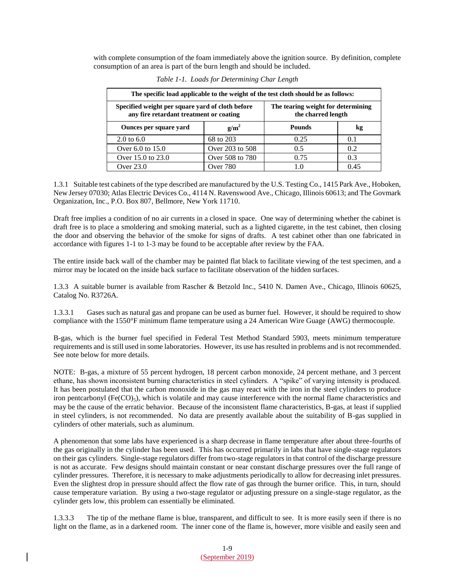with complete consumption of the foam immediately above the ignition source. By definition, complete consumption of an area is part of the burn length and should be included.

| The specific load applicable to the weight of the test cloth should be as follows:          |                 |                                                          |      |
|---------------------------------------------------------------------------------------------|-----------------|----------------------------------------------------------|------|
| Specified weight per square yard of cloth before<br>any fire retardant treatment or coating |                 | The tearing weight for determining<br>the charred length |      |
| Ounces per square yard                                                                      | $g/m^2$         | <b>Pounds</b>                                            | kg   |
| 2.0 to $6.0$                                                                                | 68 to 203       | 0.25                                                     | 0.1  |
| Over 6.0 to 15.0                                                                            | Over 203 to 508 | 0.5                                                      | 0.2  |
| Over 15.0 to 23.0                                                                           | Over 508 to 780 | 0.75                                                     | 0.3  |
| Over 23.0                                                                                   | Over 780        |                                                          | 0.45 |

*Table 1-1. Loads for Determining Char Length*

1.3.1 Suitable test cabinets of the type described are manufactured by the U.S. Testing Co., 1415 Park Ave., Hoboken, New Jersey 07030; Atlas Electric Devices Co., 4114 N. Ravenswood Ave., Chicago, Illinois 60613; and The Govmark Organization, Inc., P.O. Box 807, Bellmore, New York 11710.

Draft free implies a condition of no air currents in a closed in space. One way of determining whether the cabinet is draft free is to place a smoldering and smoking material, such as a lighted cigarette, in the test cabinet, then closing the door and observing the behavior of the smoke for signs of drafts. A test cabinet other than one fabricated in accordance with figures 1-1 to 1-3 may be found to be acceptable after review by the FAA.

The entire inside back wall of the chamber may be painted flat black to facilitate viewing of the test specimen, and a mirror may be located on the inside back surface to facilitate observation of the hidden surfaces.

1.3.3 A suitable burner is available from Rascher & Betzold Inc., 5410 N. Damen Ave., Chicago, Illinois 60625, Catalog No. R3726A.

1.3.3.1 Gases such as natural gas and propane can be used as burner fuel. However, it should be required to show compliance with the 1550°F minimum flame temperature using a 24 American Wire Guage (AWG) thermocouple.

B-gas, which is the burner fuel specified in Federal Test Method Standard 5903, meets minimum temperature requirements and is still used in some laboratories. However, its use has resulted in problems and is not recommended. See note below for more details.

NOTE: B-gas, a mixture of 55 percent hydrogen, 18 percent carbon monoxide, 24 percent methane, and 3 percent ethane, has shown inconsistent burning characteristics in steel cylinders. A "spike" of varying intensity is produced. It has been postulated that the carbon monoxide in the gas may react with the iron in the steel cylinders to produce iron pentcarbonyl (Fe(CO)<sub>5</sub>), which is volatile and may cause interference with the normal flame characteristics and may be the cause of the erratic behavior. Because of the inconsistent flame characteristics, B-gas, at least if supplied in steel cylinders, is not recommended. No data are presently available about the suitability of B-gas supplied in cylinders of other materials, such as aluminum.

A phenomenon that some labs have experienced is a sharp decrease in flame temperature after about three-fourths of the gas originally in the cylinder has been used. This has occurred primarily in labs that have single-stage regulators on their gas cylinders. Single-stage regulators differ from two-stage regulators in that control of the discharge pressure is not as accurate. Few designs should maintain constant or near constant discharge pressures over the full range of cylinder pressures. Therefore, it is necessary to make adjustments periodically to allow for decreasing inlet pressures. Even the slightest drop in pressure should affect the flow rate of gas through the burner orifice. This, in turn, should cause temperature variation. By using a two-stage regulator or adjusting pressure on a single-stage regulator, as the cylinder gets low, this problem can essentially be eliminated.

1.3.3.3 The tip of the methane flame is blue, transparent, and difficult to see. It is more easily seen if there is no light on the flame, as in a darkened room. The inner cone of the flame is, however, more visible and easily seen and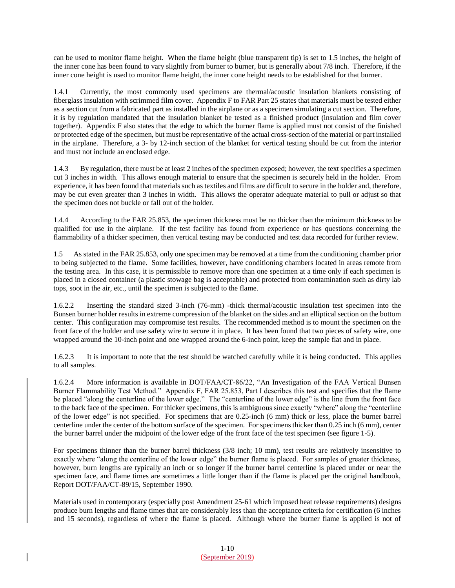can be used to monitor flame height. When the flame height (blue transparent tip) is set to 1.5 inches, the height of the inner cone has been found to vary slightly from burner to burner, but is generally about 7/8 inch. Therefore, if the inner cone height is used to monitor flame height, the inner cone height needs to be established for that burner.

1.4.1 Currently, the most commonly used specimens are thermal/acoustic insulation blankets consisting of fiberglass insulation with scrimmed film cover. Appendix F to FAR Part 25 states that materials must be tested either as a section cut from a fabricated part as installed in the airplane or as a specimen simulating a cut section. Therefore, it is by regulation mandated that the insulation blanket be tested as a finished product (insulation and film cover together). Appendix F also states that the edge to which the burner flame is applied must not consist of the finished or protected edge of the specimen, but must be representative of the actual cross-section of the material or part installed in the airplane. Therefore, a 3- by 12-inch section of the blanket for vertical testing should be cut from the interior and must not include an enclosed edge.

1.4.3 By regulation, there must be at least 2 inches of the specimen exposed; however, the text specifies a specimen cut 3 inches in width. This allows enough material to ensure that the specimen is securely held in the holder. From experience, it has been found that materials such as textiles and films are difficult to secure in the holder and, therefore, may be cut even greater than 3 inches in width. This allows the operator adequate material to pull or adjust so that the specimen does not buckle or fall out of the holder.

1.4.4 According to the FAR 25.853, the specimen thickness must be no thicker than the minimum thickness to be qualified for use in the airplane. If the test facility has found from experience or has questions concerning the flammability of a thicker specimen, then vertical testing may be conducted and test data recorded for further review.

1.5 As stated in the FAR 25.853, only one specimen may be removed at a time from the conditioning chamber prior to being subjected to the flame. Some facilities, however, have conditioning chambers located in areas remote from the testing area. In this case, it is permissible to remove more than one specimen at a time only if each specimen is placed in a closed container (a plastic stowage bag is acceptable) and protected from contamination such as dirty lab tops, soot in the air, etc., until the specimen is subjected to the flame.

1.6.2.2 Inserting the standard sized 3-inch (76-mm) -thick thermal/acoustic insulation test specimen into the Bunsen burner holder results in extreme compression of the blanket on the sides and an elliptical section on the bottom center. This configuration may compromise test results. The recommended method is to mount the specimen on the front face of the holder and use safety wire to secure it in place. It has been found that two pieces of safety wire, one wrapped around the 10-inch point and one wrapped around the 6-inch point, keep the sample flat and in place.

1.6.2.3 It is important to note that the test should be watched carefully while it is being conducted. This applies to all samples.

1.6.2.4 More information is available in DOT/FAA/CT-86/22, "An Investigation of the FAA Vertical Bunsen Burner Flammability Test Method." Appendix F, FAR 25.853, Part I describes this test and specifies that the flame be placed "along the centerline of the lower edge." The "centerline of the lower edge" is the line from the front face to the back face of the specimen. For thicker specimens, this is ambiguous since exactly "where" along the "centerline of the lower edge" is not specified. For specimens that are 0.25-inch (6 mm) thick or less, place the burner barrel centerline under the center of the bottom surface of the specimen. For specimens thicker than 0.25 inch (6 mm), center the burner barrel under the midpoint of the lower edge of the front face of the test specimen (see figure 1-5).

For specimens thinner than the burner barrel thickness (3/8 inch; 10 mm), test results are relatively insensitive to exactly where "along the centerline of the lower edge" the burner flame is placed. For samples of greater thickness, however, burn lengths are typically an inch or so longer if the burner barrel centerline is placed under or near the specimen face, and flame times are sometimes a little longer than if the flame is placed per the original handbook, Report DOT/FAA/CT-89/15, September 1990.

Materials used in contemporary (especially post Amendment 25-61 which imposed heat release requirements) designs produce burn lengths and flame times that are considerably less than the acceptance criteria for certification (6 inches and 15 seconds), regardless of where the flame is placed. Although where the burner flame is applied is not of